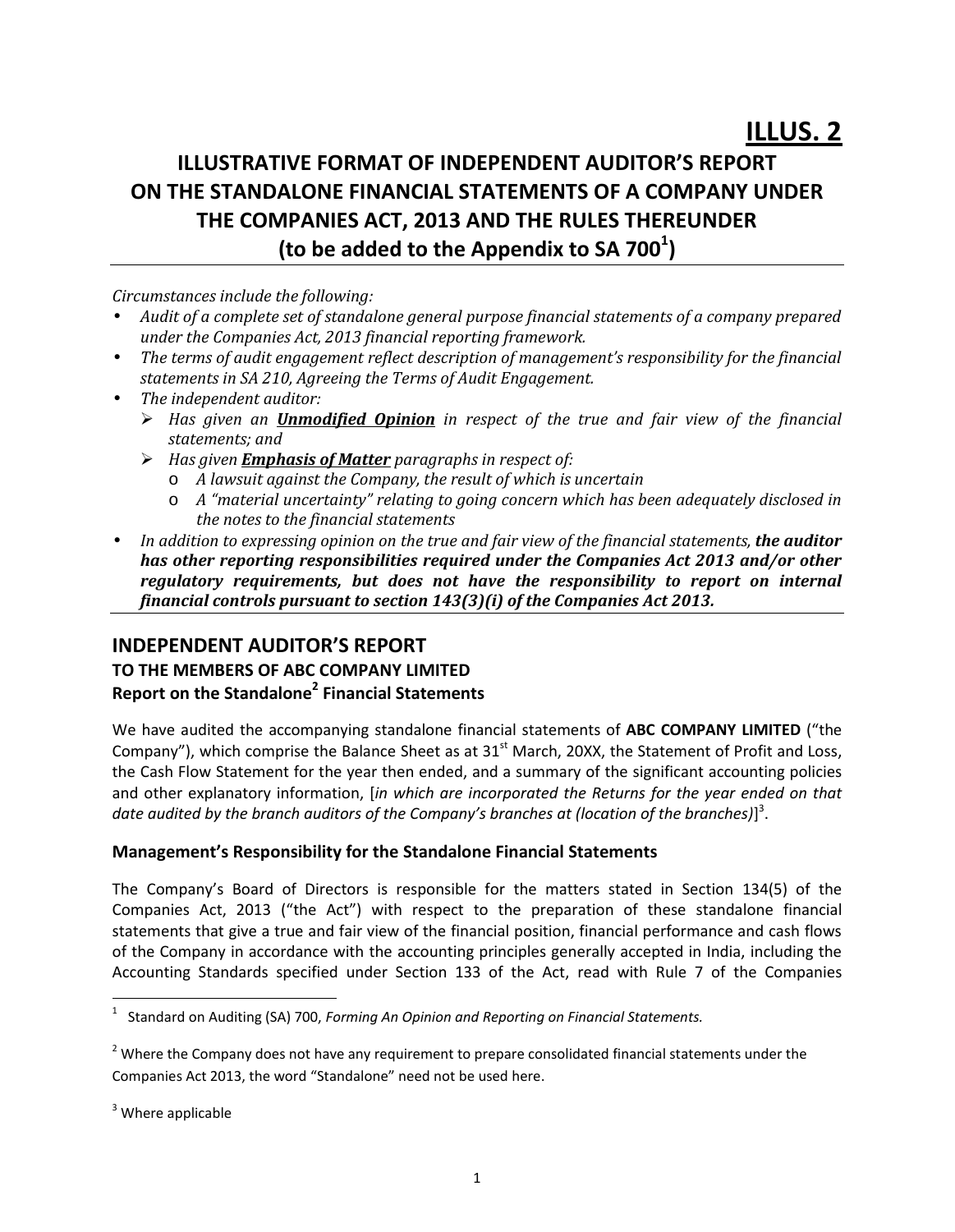# **ILLUSTRATIVE FORMAT OF INDEPENDENT AUDITOR'S REPORT ON THE STANDALONE FINANCIAL STATEMENTS OF A COMPANY UNDER THE COMPANIES ACT, 2013 AND THE RULES THEREUNDER (to be added to the Appendix to SA 700<sup>1</sup> )**

#### *Circumstances include the following:*

- *Audit of a complete set of standalone general purpose financial statements of a company prepared under the Companies Act, 2013 financial reporting framework.*
- *The terms of audit engagement reflect description of management's responsibility for the financial statements in SA 210, Agreeing the Terms of Audit Engagement.*
- *The independent auditor:*
	- *Has given an Unmodified Opinion in respect of the true and fair view of the financial statements; and*
	- *Has given Emphasis of Matter paragraphs in respect of:*
		- o *A lawsuit against the Company, the result of which is uncertain*
		- o *A "material uncertainty" relating to going concern which has been adequately disclosed in the notes to the financial statements*
- *In addition to expressing opinion on the true and fair view of the financial statements, the auditor has other reporting responsibilities required under the Companies Act 2013 and/or other regulatory requirements, but does not have the responsibility to report on internal financial controls pursuant to section 143(3)(i) of the Companies Act 2013.*

# **INDEPENDENT AUDITOR'S REPORT TO THE MEMBERS OF ABC COMPANY LIMITED Report on the Standalone<sup>2</sup> Financial Statements**

We have audited the accompanying standalone financial statements of **ABC COMPANY LIMITED** ("the Company"), which comprise the Balance Sheet as at  $31<sup>st</sup>$  March, 20XX, the Statement of Profit and Loss, the Cash Flow Statement for the year then ended, and a summary of the significant accounting policies and other explanatory information, [*in which are incorporated the Returns for the year ended on that date audited by the branch auditors of the Company's branches at (location of the branches)*] 3 .

#### **Management's Responsibility for the Standalone Financial Statements**

The Company's Board of Directors is responsible for the matters stated in Section 134(5) of the Companies Act, 2013 ("the Act") with respect to the preparation of these standalone financial statements that give a true and fair view of the financial position, financial performance and cash flows of the Company in accordance with the accounting principles generally accepted in India, including the Accounting Standards specified under Section 133 of the Act, read with Rule 7 of the Companies

<sup>&</sup>lt;sup>1</sup> Standard on Auditing (SA) 700, *Forming An Opinion and Reporting on Financial Statements.* 

 $<sup>2</sup>$  Where the Company does not have any requirement to prepare consolidated financial statements under the</sup> Companies Act 2013, the word "Standalone" need not be used here.

<sup>&</sup>lt;sup>3</sup> Where applicable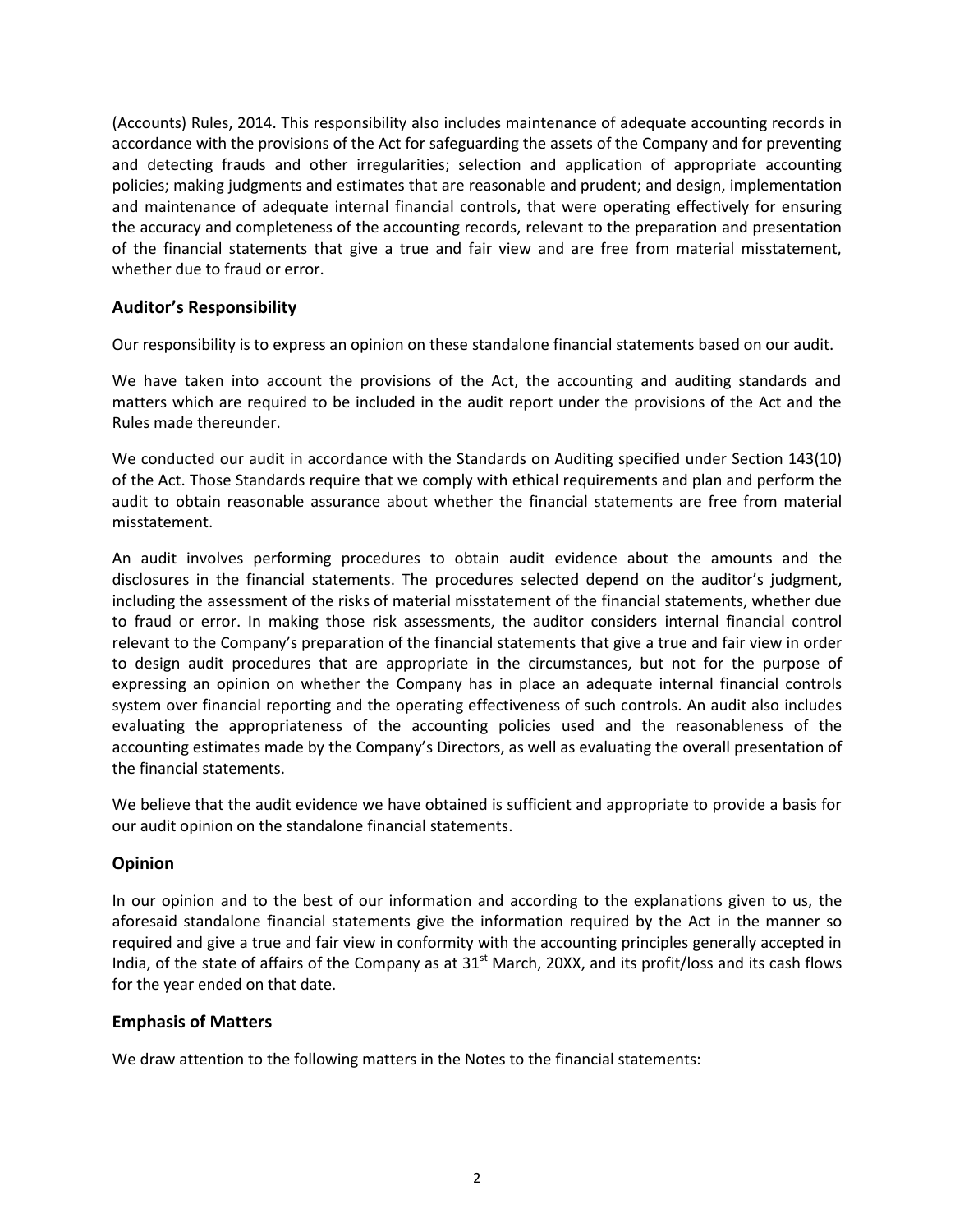(Accounts) Rules, 2014. This responsibility also includes maintenance of adequate accounting records in accordance with the provisions of the Act for safeguarding the assets of the Company and for preventing and detecting frauds and other irregularities; selection and application of appropriate accounting policies; making judgments and estimates that are reasonable and prudent; and design, implementation and maintenance of adequate internal financial controls, that were operating effectively for ensuring the accuracy and completeness of the accounting records, relevant to the preparation and presentation of the financial statements that give a true and fair view and are free from material misstatement, whether due to fraud or error.

#### **Auditor's Responsibility**

Our responsibility is to express an opinion on these standalone financial statements based on our audit.

We have taken into account the provisions of the Act, the accounting and auditing standards and matters which are required to be included in the audit report under the provisions of the Act and the Rules made thereunder.

We conducted our audit in accordance with the Standards on Auditing specified under Section 143(10) of the Act. Those Standards require that we comply with ethical requirements and plan and perform the audit to obtain reasonable assurance about whether the financial statements are free from material misstatement.

An audit involves performing procedures to obtain audit evidence about the amounts and the disclosures in the financial statements. The procedures selected depend on the auditor's judgment, including the assessment of the risks of material misstatement of the financial statements, whether due to fraud or error. In making those risk assessments, the auditor considers internal financial control relevant to the Company's preparation of the financial statements that give a true and fair view in order to design audit procedures that are appropriate in the circumstances, but not for the purpose of expressing an opinion on whether the Company has in place an adequate internal financial controls system over financial reporting and the operating effectiveness of such controls. An audit also includes evaluating the appropriateness of the accounting policies used and the reasonableness of the accounting estimates made by the Company's Directors, as well as evaluating the overall presentation of the financial statements.

We believe that the audit evidence we have obtained is sufficient and appropriate to provide a basis for our audit opinion on the standalone financial statements.

#### **Opinion**

In our opinion and to the best of our information and according to the explanations given to us, the aforesaid standalone financial statements give the information required by the Act in the manner so required and give a true and fair view in conformity with the accounting principles generally accepted in India, of the state of affairs of the Company as at  $31<sup>st</sup>$  March, 20XX, and its profit/loss and its cash flows for the year ended on that date.

#### **Emphasis of Matters**

We draw attention to the following matters in the Notes to the financial statements: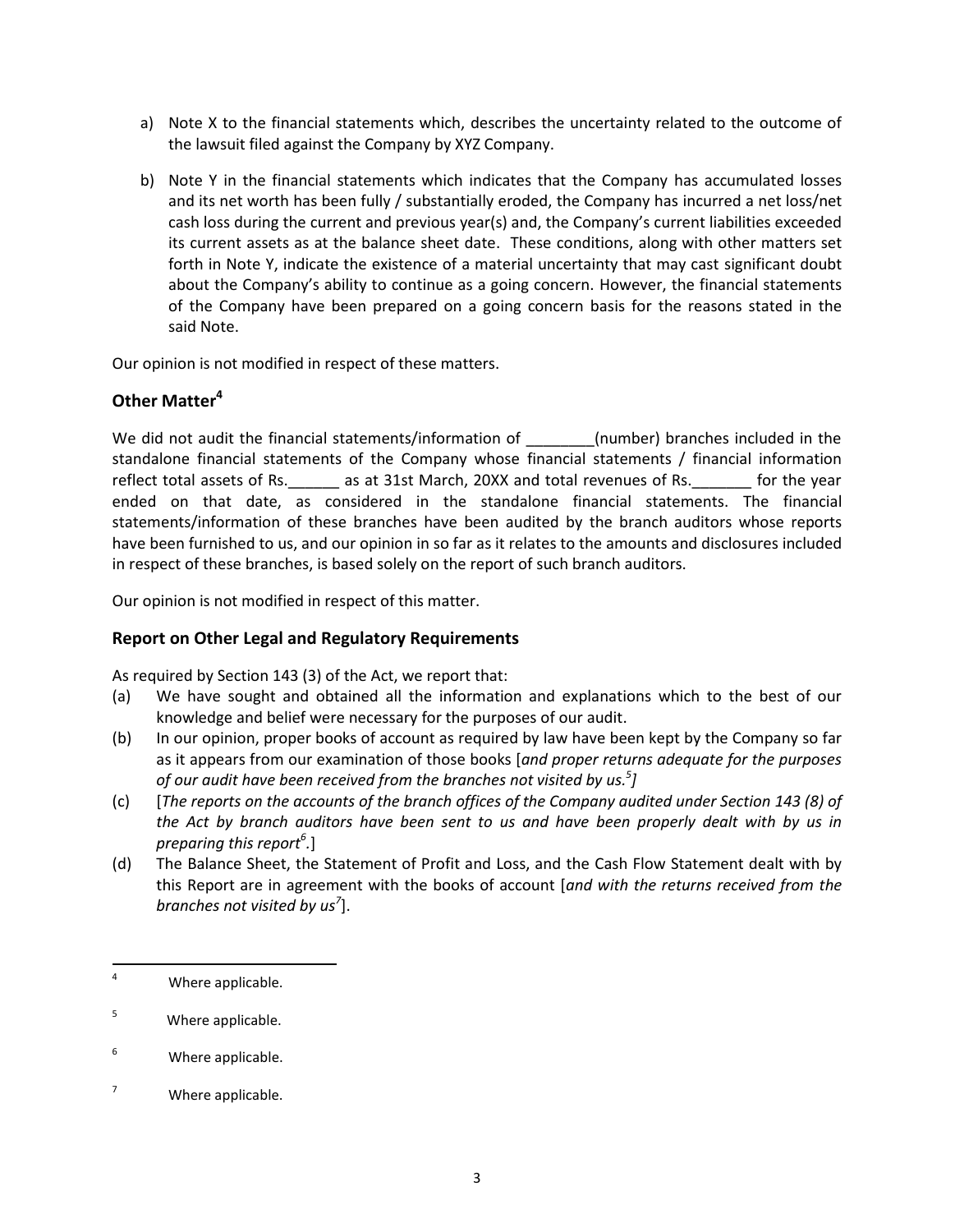- a) Note X to the financial statements which, describes the uncertainty related to the outcome of the lawsuit filed against the Company by XYZ Company.
- b) Note Y in the financial statements which indicates that the Company has accumulated losses and its net worth has been fully / substantially eroded, the Company has incurred a net loss/net cash loss during the current and previous year(s) and, the Company's current liabilities exceeded its current assets as at the balance sheet date. These conditions, along with other matters set forth in Note Y, indicate the existence of a material uncertainty that may cast significant doubt about the Company's ability to continue as a going concern. However, the financial statements of the Company have been prepared on a going concern basis for the reasons stated in the said Note.

Our opinion is not modified in respect of these matters.

## **Other Matter<sup>4</sup>**

We did not audit the financial statements/information of \_\_\_\_\_\_\_(number) branches included in the standalone financial statements of the Company whose financial statements / financial information reflect total assets of Rs.\_\_\_\_\_\_ as at 31st March, 20XX and total revenues of Rs.\_\_\_\_\_\_\_ for the year ended on that date, as considered in the standalone financial statements. The financial statements/information of these branches have been audited by the branch auditors whose reports have been furnished to us, and our opinion in so far as it relates to the amounts and disclosures included in respect of these branches, is based solely on the report of such branch auditors.

Our opinion is not modified in respect of this matter.

### **Report on Other Legal and Regulatory Requirements**

As required by Section 143 (3) of the Act, we report that:

- (a) We have sought and obtained all the information and explanations which to the best of our knowledge and belief were necessary for the purposes of our audit.
- (b) In our opinion, proper books of account as required by law have been kept by the Company so far as it appears from our examination of those books [*and proper returns adequate for the purposes of our audit have been received from the branches not visited by us. 5 ]*
- (c) [*The reports on the accounts of the branch offices of the Company audited under Section 143 (8) of the Act by branch auditors have been sent to us and have been properly dealt with by us in preparing this report<sup>6</sup> .*]
- (d) The Balance Sheet, the Statement of Profit and Loss, and the Cash Flow Statement dealt with by this Report are in agreement with the books of account [*and with the returns received from the branches not visited by us<sup>7</sup>* ].

<sup>&</sup>lt;sup>4</sup> Where applicable.

<sup>5</sup> Where applicable.

Where applicable.

<sup>7</sup> Where applicable.